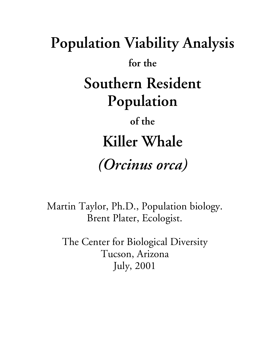# **Population Viability Analysis for the Southern Resident Population of the Killer Whale** *(Orcinus orca)*

Martin Taylor, Ph.D., Population biology. Brent Plater, Ecologist.

The Center for Biological Diversity Tucson, Arizona July, 2001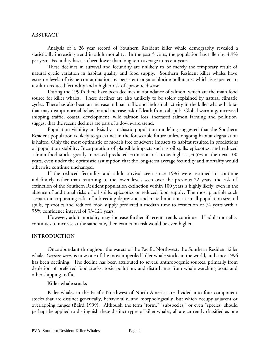## **ABSTRACT**

Analysis of a 26 year record of Southern Resident killer whale demography revealed a statistically increasing trend in adult mortality. In the past 5 years, the population has fallen by 4.9% per year. Fecundity has also been lower than long term average in recent years.

These declines in survival and fecundity are unlikely to be merely the temporary result of natural cyclic variation in habitat quality and food supply. Southern Resident killer whales have extreme levels of tissue contamination by persistent organochlorine pollutants, which is expected to result in reduced fecundity and a higher risk of epizootic disease.

During the 1990's there have been declines in abundance of salmon, which are the main food source for killer whales. These declines are also unlikely to be solely explained by natural climatic cycles. There has also been an increase in boat traffic and industrial activity in the killer whales habitat that may disrupt normal behavior and increase risk of death from oil spills. Global warming, increased shipping traffic, coastal development, wild salmon loss, increased salmon farming and pollution suggest that the recent declines are part of a downward trend.

Population viability analysis by stochastic population modeling suggested that the Southern Resident population is likely to go extinct in the foreseeable future unless ongoing habitat degradation is halted. Only the most optimistic of models free of adverse impacts to habitat resulted in predictions of population stability. Incorporation of plausible impacts such as oil spills, epizootics, and reduced salmon food stocks greatly increased predicted extinction risk to as high as 54.5% in the next 100 years, even under the optimistic assumption that the long-term average fecundity and mortality would otherwise continue unchanged.

If the reduced fecundity and adult survival seen since 1996 were assumed to continue indefinitely rather than returning to the lower levels seen over the previous 22 years, the risk of extinction of the Southern Resident population extinction within 100 years is highly likely, even in the absence of additional risks of oil spills, epizootics or reduced food supply. The most plausible such scenario incorporating risks of inbreeding depression and mate limitation at small population size, oil spills, epizootics and reduced food supply predicted a median time to extinction of 74 years with a 95% confidence interval of 33-121 years.

However, adult mortality may increase further if recent trends continue. If adult mortality continues to increase at the same rate, then extinction risk would be even higher.

# **INTRODUCTION**

Once abundant throughout the waters of the Pacific Northwest, the Southern Resident killer whale, *Orcinus orca,* is now one of the most imperiled killer whale stocks in the world, and since 1996 has been declining. The decline has been attributed to several anthropogenic sources, primarily from depletion of preferred food stocks, toxic pollution, and disturbance from whale watching boats and other shipping traffic.

# **Killer whale stocks**

Killer whales in the Pacific Northwest of North America are divided into four component stocks that are distinct genetically, behaviorally, and morphologically, but which occupy adjacent or overlapping ranges (Baird 1999). Although the term "form," "subspecies," or even "species" should perhaps be applied to distinguish these distinct types of killer whales, all are currently classified as one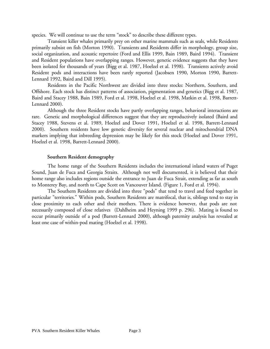species. We will continue to use the term "stock" to describe these different types.

Transient killer whales primarily prey on other marine mammals such as seals, while Residents primarily subsist on fish (Morton 1990). Transients and Residents differ in morphology, group size, social organization, and acoustic repertoire (Ford and Ellis 1999, Bain 1989, Baird 1994). Transient and Resident populations have overlapping ranges. However, genetic evidence suggests that they have been isolated for thousands of years (Bigg et al. 1987, Hoelzel et al. 1998). Transients actively avoid Resident pods and interactions have been rarely reported (Jacobsen 1990, Morton 1990, Barrett-Lennard 1992, Baird and Dill 1995).

Residents in the Pacific Northwest are divided into three stocks: Northern, Southern, and Offshore. Each stock has distinct patterns of association, pigmentation and genetics (Bigg et al. 1987, Baird and Stacey 1988, Bain 1989, Ford et al. 1998, Hoelzel et al. 1998, Matkin et al. 1998, Barrett-Lennard 2000).

Although the three Resident stocks have partly overlapping ranges, behavioral interactions are rare. Genetic and morphological differences suggest that they are reproductively isolated (Baird and Stacey 1988, Stevens et al. 1989, Hoelzel and Dover 1991, Hoelzel et al. 1998, Barrett-Lennard 2000). Southern residents have low genetic diversity for several nuclear and mitochondrial DNA markers implying that inbreeding depression may be likely for this stock (Hoelzel and Dover 1991, Hoelzel et al. 1998, Barrett-Lennard 2000).

## **Southern Resident demography**

The home range of the Southern Residents includes the international inland waters of Puget Sound, Juan de Fuca and Georgia Straits. Although not well documented, it is believed that their home range also includes regions outside the entrance to Juan de Fuca Strait, extending as far as south to Monterey Bay, and north to Cape Scott on Vancouver Island. (Figure 1, Ford et al. 1994).

The Southern Residents are divided into three "pods" that tend to travel and feed together in particular "territories." Within pods, Southern Residents are matrifocal, that is, siblings tend to stay in close proximity to each other and their mothers. There is evidence however, that pods are not necessarily composed of close relatives (Dahlheim and Heyning 1999 p. 296). Mating is found to occur primarily outside of a pod (Barrett-Lennard 2000), although paternity analysis has revealed at least one case of within-pod mating (Hoelzel et al. 1998).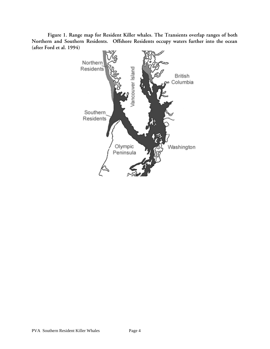**Figure 1. Range map for Resident Killer whales. The Transients overlap ranges of both Northern and Southern Residents. Offshore Residents occupy waters further into the ocean (after Ford et al. 1994)**

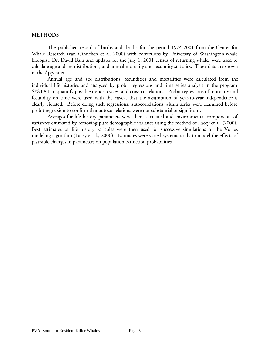## **METHODS**

The published record of births and deaths for the period 1974-2001 from the Center for Whale Research (van Ginneken et al. 2000) with corrections by University of Washington whale biologist, Dr. David Bain and updates for the July 1, 2001 census of returning whales were used to calculate age and sex distributions, and annual mortality and fecundity statistics. These data are shown in the Appendix.

Annual age and sex distributions, fecundities and mortalities were calculated from the individual life histories and analyzed by probit regressions and time series analysis in the program SYSTAT to quantify possible trends, cycles, and cross correlations. Probit regressions of mortality and fecundity on time were used with the caveat that the assumption of year-to-year independence is clearly violated. Before doing such regressions, autocorrelations within series were examined before probit regression to confirm that autocorrelations were not substantial or significant.

Averages for life history parameters were then calculated and environmental components of variances estimated by removing pure demographic variance using the method of Lacey et al. (2000). Best estimates of life history variables were then used for successive simulations of the Vortex modeling algorithm (Lacey et al., 2000). Estimates were varied systematically to model the effects of plausible changes in parameters on population extinction probabilities.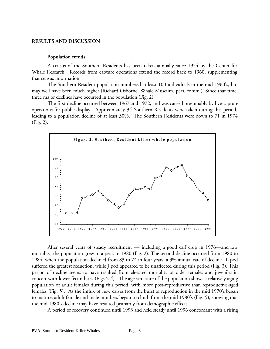## **RESULTS AND DISCUSSION**

### **Population trends**

A census of the Southern Residents has been taken annually since 1974 by the Center for Whale Research. Records from capture operations extend the record back to 1960, supplementing that census information.

The Southern Resident population numbered at least 100 individuals in the mid-1960's, but may well have been much higher (Richard Osborne, Whale Museum, pers. comm.). Since that time, three major declines have occurred in the population (Fig. 2).

The first decline occurred between 1967 and 1972, and was caused presumably by live-capture operations for public display. Approximately 34 Southern Residents were taken during this period, leading to a population decline of at least 30%. The Southern Residents were down to 71 in 1974 (Fig. 2).



After several years of steady recruitment — including a good calf crop in 1976—and low mortality, the population grew to a peak in 1980 (Fig. 2). The second decline occurred from 1980 to 1984, when the population declined from 83 to 74 in four years, a 3% annual rate of decline. L pod suffered the greatest reduction, while J pod appeared to be unaffected during this period (Fig. 3). This period of decline seems to have resulted from elevated mortality of older females and juveniles in concert with lower fecundities (Figs 2-4). The age structure of the population shows a relatively aging population of adult females during this period, with more post-reproductive than reproductive-aged females (Fig. 5). As the influx of new calves from the burst of reproduction in the mid 1970's began to mature, adult female and male numbers began to climb from the mid 1980's (Fig. 5), showing that the mid 1980's decline may have resulted primarily from demographic effects.

A period of recovery continued until 1993 and held steady until 1996 concordant with a rising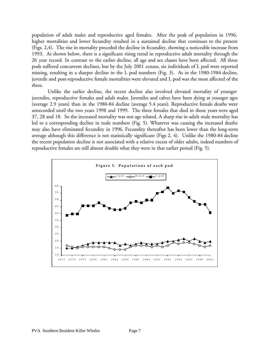population of adult males and reproductive aged females. After the peak of population in 1996, higher mortalities and lower fecundity resulted in a sustained decline that continues to the present (Figs. 2,4). The rise in mortality preceded the decline in fecundity, showing a noticeable increase from 1993. As shown below, there is a significant rising trend in reproductive adult mortality through the 26 year record. In contrast to the earlier decline, all age and sex classes have been affected. All three pods suffered concurrent declines, but by the July 2001 census, six individuals of L pod were reported missing, resulting in a sharper decline in the L pod numbers (Fig. 3). As in the 1980-1984 decline, juvenile and post-reproductive female mortalities were elevated and L pod was the most affected of the three.

Unlike the earlier decline, the recent decline also involved elevated mortality of younger juveniles, reproductive females and adult males. Juveniles and calves have been dying at younger ages (average 2.9 years) than in the 1980-84 decline (average 5.4 years). Reproductive female deaths were unrecorded until the two years 1998 and 1999. The three females that died in those years were aged 37, 28 and 18. So the increased mortality was not age related. A sharp rise in adult male mortality has led to a corresponding decline in male numbers (Fig. 5). Whatever was causing the increased deaths may also have eliminated fecundity in 1996. Fecundity thereafter has been lower than the long-term average although this difference is not statistically significant (Figs 2, 4). Unlike the 1980-84 decline the recent population decline is not associated with a relative excess of older adults, indeed numbers of reproductive females are still almost double what they were in that earlier period (Fig. 5).

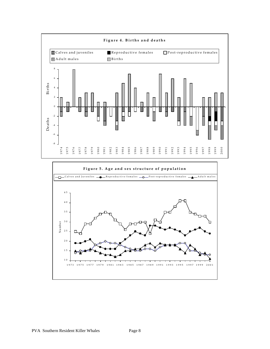

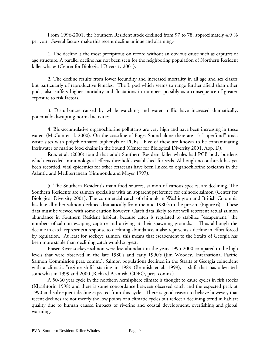From 1996-2001, the Southern Resident stock declined from 97 to 78, approximately 4.9 % per year. Several factors make this recent decline unique and alarming:-

1. The decline is the most precipitous on record without an obvious cause such as captures or age structure. A parallel decline has not been seen for the neighboring population of Northern Resident killer whales (Center for Biological Diversity 2001).

2. The decline results from lower fecundity and increased mortality in all age and sex classes but particularly of reproductive females. The L pod which seems to range further afield than other pods, also suffers higher mortality and fluctations in numbers possibly as a consequence of greater exposure to risk factors.

3. Disturbances caused by whale watching and water traffic have increased dramatically, potentially disrupting normal activities.

4. Bio-accumulative organochlorine pollutants are very high and have been increasing in these waters (McCain et al. 2000). On the coastline of Puget Sound alone there are 13 "superfund" toxic waste sites with polychlorinated biphenyls or PCBs. Five of these are known to be contaminating freshwater or marine food chains in the Sound (Center for Biological Diversity 2001, App. D).

Ross et al. (2000) found that adult Southern Resident killer whales had PCB body burdens which exceeded immunological effects thresholds established for seals. Although no outbreak has yet been recorded, viral epidemics for other cetaceans have been linked to organochlorine toxicants in the Atlantic and Mediterranean (Simmonds and Mayer 1997).

5. The Southern Resident's main food sources, salmon of various species, are declining. The Southern Residents are salmon specialists with an apparent preference for chinook salmon (Center for Biological Diversity 2001). The commercial catch of chinook in Washington and British Colombia has like all other salmon declined dramatically from the mid 1980's to the present (Figure 6). These data must be viewed with some caution however. Catch data likely to not well represent actual salmon abundance in Southern Resident habitat, because catch is regulated to stabilize "escapement," the numbers of salmon escaping capture and arriving at their spawning grounds. Thus although the decline in catch represents a response to declining abundance, it also represents a decline in effort forced by regulation. At least for sockeye salmon, this means that escapement to the Straits of Georgia has been more stable than declining catch would suggest.

Fraser River sockeye salmon were less abundant in the years 1995-2000 compared to the high levels that were observed in the late 1980's and early 1990's (Jim Woodey, International Pacific Salmon Commission pers. comm.). Salmon populations declined in the Straits of Georgia coincident with a climatic "regime shift" starting in 1989 (Beamish et al. 1999), a shift that has alleviated somewhat in 1999 and 2000 (Richard Beamish, CDFO, pers. comm.)

A 50-60 year cycle in the northern hemisphere climate is thought to cause cycles in fish stocks (Klyashtorin 1998) and there is some concordance between observed catch and the expected peak at 1990 and subsequent decline expected from this cycle. There is good reason to believe however, that recent declines are not merely the low points of a climatic cycles but reflect a declining trend in habitat quality due to human caused impacts of riverine and coastal development, overfishing and global warming.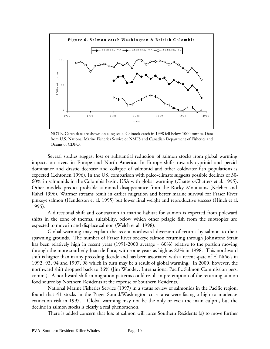

NOTE. Catch data are shown on a log scale. Chinook catch in 1998 fell below 1000 tonnes. Data from U.S. National Marine Fisheries Service or NMFS and Canadian Department of Fisheries and Oceans or CDFO.

Several studies suggest loss or substantial reduction of salmon stocks from global warming impacts on rivers in Europe and North America. In Europe shifts towards cyprinid and percid dominance and drastic decrease and collapse of salmonid and other coldwater fish populations is expected (Lehtonen 1996). In the US, comparison with paleo-climate suggests possible declines of 30- 60% in salmonids in the Colombia basin, USA with global warming (Chatters-Chatters et al. 1995). Other models predict probable salmonid disappearance from the Rocky Mountains (Keleher and Rahel 1996). Warmer streams result in earlier migration and better marine survival for Fraser River pinkeye salmon (Henderson et al. 1995) but lower final weight and reproductive success (Hinch et al. 1995).

A directional shift and contraction in marine habitat for salmon is expected from poleward shifts in the zone of thermal suitability, below which other pelagic fish from the subtropics are expected to move in and displace salmon (Welch et al. 1998).

Global warming may explain the recent northward diversion of returns by salmon to their spawning grounds. The number of Fraser River sockeye salmon returning through Johnstone Strait has been relatively high in recent years (1991-2000 average = 60%) relative to the portion moving through the more southerly Juan de Fuca, with some years as high as 82% in 1998. This northward shift is higher than in any preceding decade and has been associated with a recent spate of El Niño's in 1992, 93, 94 and 1997, 98 which in turn may be a result of global warming. In 2000, however, the northward shift dropped back to 36% (Jim Woodey, International Pacific Salmon Commission pers. comm.). A northward shift in migration patterns could result in pre-emption of the returning salmon food source by Northern Residents at the expense of Southern Residents.

National Marine Fisheries Service (1997) in a status review of salmonids in the Pacific region, found that 41 stocks in the Puget Sound/Washington coast area were facing a high to moderate extinction risk in 1997. Global warming may not be the only or even the main culprit, but the decline in salmon stocks is clearly a real phenomenon.

There is added concern that loss of salmon will force Southern Residents (a) to move further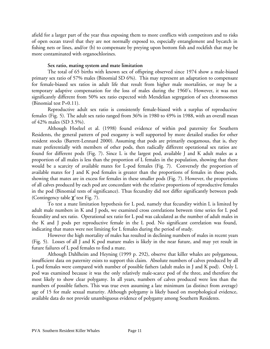afield for a larger part of the year thus exposing them to more conflicts with competitors and to risks of open ocean travel that they are not normally exposed to, especially entanglement and bycatch in fishing nets or lines, and/or (b) to compensate by preying upon bottom fish and rockfish that may be more contaminated with organochlorines.

# **Sex ratio, mating system and mate limitation**

The total of 65 births with known sex of offspring observed since 1974 show a male-biased primary sex ratio of 57% males (Binomial SD 6%). This may represent an adaptation to compensate for female-biased sex ratios in adult life that result from higher male mortalities, or may be a temporary adaptive compensation for the loss of males during the 1960's. However, it was not significantly different from 50% sex ratio expected with Mendelian segregation of sex chromosomes (Binomial test P=0.11).

Reproductive adult sex ratio is consistently female-biased with a surplus of reproductive females (Fig. 5). The adult sex ratio ranged from 36% in 1980 to 49% in 1988, with an overall mean of 42% males (SD 3.5%).

Although Hoelzel et al. (1998) found evidence of within pod paternity for Southern Residents, the general pattern of pod exogamy is well supported by more detailed studies for other resident stocks (Barrett-Lennard 2000). Assuming that pods are primarily exogamous, that is, they mate preferentially with members of other pods, then radically different operational sex ratios are found for different pods (Fig. 7). Since L is the largest pod, available J and K adult males as a proportion of all males is less than the proportion of L females in the population, showing that there would be a scarcity of available mates for L-pod females (Fig. 7). Conversely the proportion of available mates for J and K pod females is greater than the proportions of females in those pods, showing that mates are in excess for females in these smaller pods (Fig. 7). However, the proportions of all calves produced by each pod are concordant with the relative proportions of reproductive females in the pod (Binomial tests of significance). Thus fecundity did not differ significantly between pods (Contingency table  $\chi^2$  test Fig. 7).

To test a mate limitation hypothesis for L pod, namely that fecundity within L is limited by adult male numbers in K and J pods, we examined cross correlations between time series for L pod fecundity and sex ratio. Operational sex ratio for L pod was calculated as the number of adult males in the K and J pods per reproductive female in the L pod. No significant correlation was found, indicating that mates were not limiting for L females during the period of study.

However the high mortality of males has resulted in declining numbers of males in recent years (Fig. 5). Losses of all J and K pod mature males is likely in the near future, and may yet result in future failures of L pod females to find a mate.

Although Dahlheim and Heyning (1999 p. 292), observe that killer whales are polygamous, insufficient data on paternity exists to support this claim. Absolute numbers of calves produced by all L pod females were compared with number of possible fathers (adult males in J and K pod). Only L pod was examined because it was the only relatively male-scarce pod of the three, and therefore the most likely to show clear polygamy. In all years, numbers of calves produced were less than the numbers of possible fathers. This was true even assuming a late minimum (as distinct from average) age of 15 for male sexual maturity. Although polygamy is likely based on morphological evidence, available data do not provide unambiguous evidence of polygamy among Southern Residents.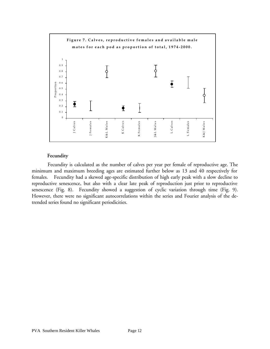

# **Fecundity**

Fecundity is calculated as the number of calves per year per female of reproductive age. The minimum and maximum breeding ages are estimated further below as 13 and 40 respectively for females. Fecundity had a skewed age-specific distribution of high early peak with a slow decline to reproductive senescence, but also with a clear late peak of reproduction just prior to reproductive senescence (Fig. 8). Fecundity showed a suggestion of cyclic variation through time (Fig. 9). However, there were no significant autocorrelations within the series and Fourier analysis of the detrended series found no significant periodicities.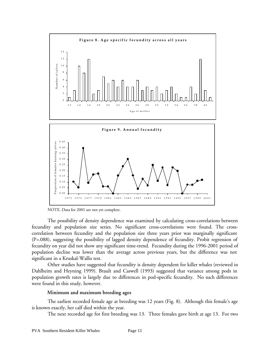

NOTE. Data for 2001 are not yet complete.

The possibility of density dependence was examined by calculating cross-correlations between fecundity and population size series. No significant cross-correlations were found. The crosscorrelation between fecundity and the population size three years prior was marginally significant (P=.088), suggesting the possibility of lagged density dependence of fecundity. Probit regression of fecundity on year did not show any significant time-trend. Fecundity during the 1996-2001 period of population decline was lower than the average across previous years, but the difference was not significant in a Kruskal-Wallis test.

Other studies have suggested that fecundity is density dependent for killer whales (reviewed in Dahlheim and Heyning 1999). Brault and Caswell (1993) suggested that variance among pods in population growth rates is largely due to differences in pod-specific fecundity. No such differences were found in this study, however.

## **Minimum and maximum breeding ages**

The earliest recorded female age at breeding was 12 years (Fig. 8). Although this female's age is known exactly, her calf died within the year.

The next recorded age for first breeding was 13. Three females gave birth at age 13. For two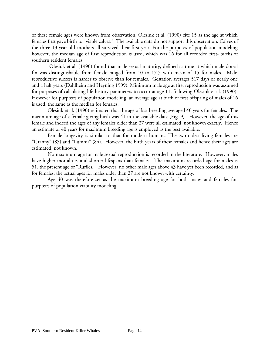of these female ages were known from observation. Olesiuk et al. (1990) cite 15 as the age at which females first gave birth to "viable calves." The available data do not support this observation. Calves of the three 13-year-old mothers all survived their first year. For the purposes of population modeling however, the median age of first reproduction is used, which was 16 for all recorded first- births of southern resident females.

 Olesiuk et al. (1990) found that male sexual maturity, defined as time at which male dorsal fin was distinguishable from female ranged from 10 to 17.5 with mean of 15 for males. Male reproductive success is harder to observe than for females. Gestation averages 517 days or nearly one and a half years (Dahlheim and Heyning 1999). Minimum male age at first reproduction was assumed for purposes of calculating life history parameters to occur at age 11, following Olesiuk et al. (1990). However for purposes of population modeling, an average age at birth of first offspring of males of 16 is used, the same as the median for females.

Olesiuk et al. (1990) estimated that the age of last breeding averaged 40 years for females. The maximum age of a female giving birth was 41 in the available data (Fig. 9). However, the age of this female and indeed the ages of any females older than 27 were all estimated, not known exactly. Hence an estimate of 40 years for maximum breeding age is employed as the best available.

Female longevity is similar to that for modern humans. The two oldest living females are "Granny" (85) and "Lummi" (84). However, the birth years of these females and hence their ages are estimated, not known.

No maximum age for male sexual reproduction is recorded in the literature. However, males have higher mortalities and shorter lifespans than females. The maximum recorded age for males is 51, the present age of "Ruffles." However, no other male ages above 43 have yet been recorded, and as for females, the actual ages for males older than 27 are not known with certainty.

Age 40 was therefore set as the maximum breeding age for both males and females for purposes of population viability modeling.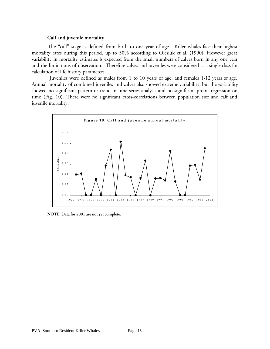## **Calf and juvenile mortality**

The "calf" stage is defined from birth to one year of age. Killer whales face their highest mortality rates during this period, up to 50% according to Olesiuk et al. (1990). However great variability in mortality estimates is expected from the small numbers of calves born in any one year and the limitations of observation. Therefore calves and juveniles were considered as a single class for calculation of life history parameters.

 Juveniles were defined as males from 1 to 10 years of age, and females 1-12 years of age. Annual mortality of combined juveniles and calves also showed extreme variability, but the variability showed no significant pattern or trend in time series analysis and no significant probit regression on time (Fig. 10). There were no significant cross-correlations between population size and calf and juvenile mortality.



**NOTE. Data for 2001 are not yet complete.**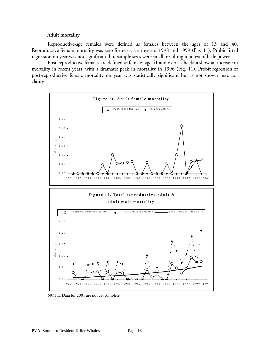## **Adult mortality**

Reproductive-age females were defined as females between the ages of 13 and 40. Reproductive female mortality was zero for every year except 1998 and 1999 (Fig. 11). Probit fitted regression on year was not significant, but sample sizes were small, resulting in a test of little power.

Post-reproductive females are defined as females age 41 and over. The data show an increase in mortality in recent years, with a dramatic peak in mortality in 1996 (Fig. 11). Probit regression of post-reproductive female mortality on year was statistically significant but is not shown here for clarity.



NOTE. Data for 2001 are not yet complete.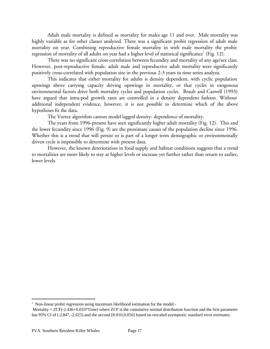Adult male mortality is defined as mortality for males age 11 and over. Male mortality was highly variable as for other classes analyzed. There was a significant probit regression of adult male mortality on year. Combining reproductive female mortality in with male mortality the probit regression of mortality of all adults on year had a higher level of statistical significance $^1$  (Fig. 12).

There was no significant cross-correlation between fecundity and mortality of any age/sex class. However, post-reproductive female, adult male and reproductive adult mortality were significantly positively cross-correlated with population size in the previous 2-3 years in time series analysis.

This indicates that either mortality for adults is density dependent, with cyclic population upswings above carrying capacity driving upswings in mortality, or that cycles in exogenous environmental factors drive both mortality cycles and population cycles. Brault and Caswell (1993) have argued that intra-pod growth rates are controlled in a density dependent fashion. Without additional independent evidence, however, it is not possible to determine which of the above hypotheses fit the data.

The Vortex algorithm cannot model lagged density- dependence of mortality.

The years from 1996-present have seen significantly higher adult mortality (Fig. 12). This and the lower fecundity since 1996 (Fig. 9) are the proximate causes of the population decline since 1996. Whether this is a trend that will persist or is part of a longer term demographic or environmentally driven cycle is impossible to determine with present data.

However, the known deterioration in food supply and habitat conditions suggests that a trend to mortalities are more likely to stay at higher levels or increase yet further rather than return to earlier, lower levels.

 $\overline{a}$ 

<sup>&</sup>lt;sup>1</sup> Non-linear probit regression using maximum likelihood estimation for the model:-

Mortality  $= ZCF(-2.436+0.033*Time)$  where ZCF is the cumulative normal distribution function and the first parameter has 95% CI of [-2.847, -2.025] and the second [0.010,0.056] based on rescaled asymptotic standard error estimates.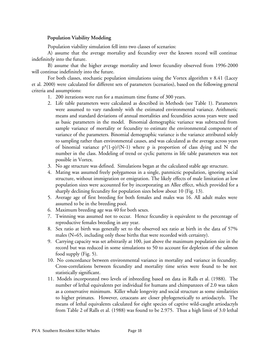# **Population Viability Modeling**

Population viability simulation fell into two classes of scenarios:

A) assume that the average mortality and fecundity over the known record will continue indefinitely into the future.

B) assume that the higher average mortality and lower fecundity observed from 1996-2000 will continue indefinitely into the future.

For both classes, stochastic population simulations using the Vortex algorithm v 8.41 (Lacey et al. 2000) were calculated for different sets of parameters (scenarios), based on the following general criteria and assumptions:

- 1. 200 iterations were run for a maximum time frame of 300 years.
- 2. Life table parameters were calculated as described in Methods (see Table 1). Parameters were assumed to vary randomly with the estimated environmental variance. Arithmetic means and standard deviations of annual mortalities and fecundities across years were used as basic parameters in the model. Binomial demographic variance was subtracted from sample variance of mortality or fecundity to estimate the environmental component of variance of the parameters. Binomial demographic variance is the variance attributed solely to sampling rather than environmental causes, and was calculated as the average across years of binomial variance  $p^*(1-p)/(N-1)$  where p is proportion of class dying and N the number in the class. Modeling of trend or cyclic patterns in life table parameters was not possible in Vortex.
- 3. No age structure was defined. Simulations began at the calculated stable age structure.
- 4. Mating was assumed freely polygamous in a single, panmictic population, ignoring social structure, without immigration or emigration. The likely effects of male limitation at low population sizes were accounted for by incorporating an Allee effect, which provided for a sharply declining fecundity for population sizes below about 10 (Fig. 13).
- 5. Average age of first breeding for both females and males was 16. All adult males were assumed to be in the breeding pool.
- 6. Maximum breeding age was 40 for both sexes.
- 7. Twinning was assumed not to occur. Hence fecundity is equivalent to the percentage of reproductive females breeding in any year.
- 8. Sex ratio at birth was generally set to the observed sex ratio at birth in the data of 57% males (N=65, including only those births that were recorded with certainty).
- 9. Carrying capacity was set arbitrarily at 100, just above the maximum population size in the record but was reduced in some simulations to 50 to account for depletion of the salmon food supply (Fig. 5).
- 10. No concordance between environmental variance in mortality and variance in fecundity. Cross-correlations between fecundity and mortality time series were found to be not statistically significant.
- 11. Models incorporated two levels of inbreeding based on data in Ralls et al. (1988). The number of lethal equivalents per individual for humans and chimpanzees of 2.0 was taken as a conservative minimum. Killer whale longevity and social structure as some similarities to higher primates. However, cetaceans are closer phylogenetically to artiodactyls. The means of lethal equivalents calculated for eight species of captive wild-caught artiodactyls from Table 2 of Ralls et al. (1988) was found to be 2.975. Thus a high limit of 3.0 lethal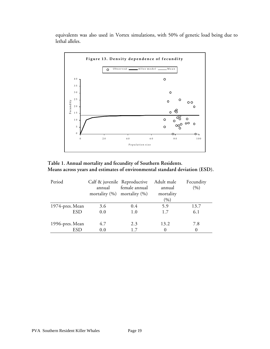equivalents was also used in Vortex simulations, with 50% of genetic load being due to lethal alleles.



**Table 1. Annual mortality and fecundity of Southern Residents. Means across years and estimates of environmental standard deviation (ESD).**

| Period          | Calf & juvenile Reproductive<br>annual<br>mortality $(\%)$ mortality $(\%)$ | female annual | Adult male<br>annual<br>mortality<br>(9/0) | Fecundity<br>(9) |
|-----------------|-----------------------------------------------------------------------------|---------------|--------------------------------------------|------------------|
| 1974-pres. Mean | 3.6                                                                         | 0.4           | 5.9                                        | 13.7             |
| <b>ESD</b>      | 0.0                                                                         | 1.0           | 1.7                                        | 6.1              |
| 1996-pres. Mean | 4.7                                                                         | 2.3           | 13.2                                       | 7.8              |
| ESD             | 0.0                                                                         | 1.7           |                                            | $\Omega$         |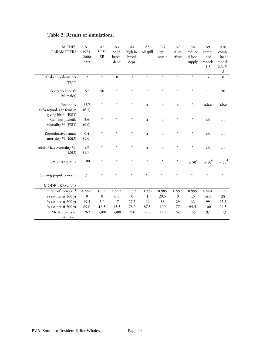| <b>MODEL</b><br><b>PARAMETERS</b>                           | A1<br>1974-<br>2000<br>data | A2<br>50:50<br><b>SR</b> | A3<br>no in-<br>breed.<br>depr. | A4<br>high in-<br>breed.<br>depr. | A5<br>oil spill | A6<br>epi-<br>zootic | A7<br>Allee<br>effect | A8<br>reduce<br>d food<br>supply | A <sub>9</sub><br>comb-<br>ined<br>models<br>$4 - 8$ | A10<br>comb-<br>ined<br>models<br>$2,3,5-$<br>8 |
|-------------------------------------------------------------|-----------------------------|--------------------------|---------------------------------|-----------------------------------|-----------------|----------------------|-----------------------|----------------------------------|------------------------------------------------------|-------------------------------------------------|
| Lethal equivalents per<br>zygote                            | $\overline{2}$              | $\ast$                   | $\boldsymbol{0}$                | $\overline{\mathbf{3}}$           | $\ast$          | $\ast$               | $\ast$                | $\ast$                           | $\overline{3}$                                       | $\boldsymbol{0}$                                |
| Sex ratio at birth<br>(% males)                             | 57                          | 50                       | $\ast$                          | $\ast$                            | $\ast$          | $\ast$               | $\ast$                |                                  | $\ast$                                               | 50                                              |
| Fecundity<br>as % reprod. age females<br>giving birth (ESD) | 13.7<br>(6.1)               | $\ast$                   | $\ast$                          | $\ast$                            | a               | b                    | $\mathsf{C}$          | ∗                                | a,b,c                                                | a,b,c                                           |
| Calf and Juvenile<br>Mortality % (ESD)                      | 3.6<br>(0.0)                | $\ast$                   | $\ast$                          | $\ast$                            | a               | $\mathbf b$          | $\ast$                |                                  | a,b                                                  | a,b                                             |
| Reproductive female<br>mortality % (ESD)                    | 0.4<br>(1.0)                | $\ast$                   | $\ast$                          | $\ast$                            | a               | $\mathbf b$          | $\ast$                | ∗                                | a,b                                                  | a,b                                             |
| Adult Male Mortality %,<br>(ESD)                            | 5.9<br>(1.7)                | $\ast$                   | $\ast$                          | $\ast$                            | a               | $\mathbf b$          | $\ast$                |                                  | a,b                                                  | a,b                                             |
| Carrying capacity                                           | 100                         | $\ast$                   | $\ast$                          | $\ast$                            | $\ast$          | $\ast$               | $\ast$                | $-$ > 50 <sup>d</sup>            | $-$ > 50 <sup>d</sup>                                | $-$ > 50 <sup>d</sup>                           |
| Starting population size                                    | $71\,$                      | $\ast$                   | $\ast$                          | $\ast$                            | $\ast$          | ∗                    | $\ast$                | $\ast$                           | $\ast$                                               | $\ast$                                          |
| <b>MODEL RESULTS</b>                                        |                             |                          |                                 |                                   |                 |                      |                       |                                  |                                                      |                                                 |
| Finite rate of increase $\lambda$                           | 0.995                       | 1.000                    | 0.995                           | 0.995                             | 0.993           | 0.985                | 0.997                 | 0.995                            | 0.984                                                | 0.989                                           |
| % extinct at 100 yr                                         | $\mathbf{0}$                | $\overline{0}$           | 0.5                             | $\mathbf{0}$                      | $\mathbf{1}$    | 29.5                 | $\boldsymbol{0}$      | 1.5                              | 54.5                                                 | 38                                              |
| % extinct at 200 yr                                         | 19.5                        | 3.0                      | 17                              | 27.5                              | 44              | 88                   | 29                    | 62                               | 99                                                   | 95.5                                            |
| % extinct at 300 yr                                         | 69.0                        | 18.5                     | 45.5                            | 78.0                              | 87.5            | 100                  | 77                    | 95.5                             | 100                                                  | 99.5                                            |
| Median years to<br>extinction                               | 262                         | >300                     | >300                            | 250                               | 208             | 129                  | 247                   | 185                              | 97                                                   | 113                                             |

# **Table 2: Results of simulations.**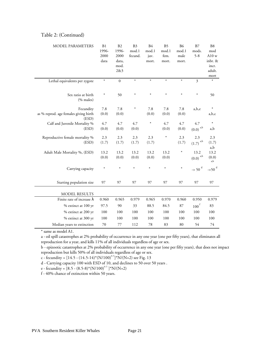## Table 2: (Continued)

| MODEL PARAMETERS                                            | B <sub>1</sub><br>1996-<br>2000<br>data | B2<br>1996-<br>2000<br>data,<br>mod.<br>2&3 | B <sub>3</sub><br>mod.1<br>fecund. | <b>B4</b><br>mod.1<br>juv.<br>mort. | B <sub>5</sub><br>mod.1<br>fem.<br>mort. | <b>B6</b><br>mod.1<br>male<br>mort. | B7<br>mods.<br>$5 - 8$                      | B <sub>8</sub><br>mod<br>A10 w<br>inbr. &<br>incr.<br>adult.<br>mort |
|-------------------------------------------------------------|-----------------------------------------|---------------------------------------------|------------------------------------|-------------------------------------|------------------------------------------|-------------------------------------|---------------------------------------------|----------------------------------------------------------------------|
| Lethal equivalents per zygote                               | $\ast$                                  | $\mathbf{0}$                                | $\ast$                             | $\ast$                              | $\ast$                                   | $\ast$                              | 3                                           | $\ast$                                                               |
| Sex ratio at birth<br>$(\%$ males)                          | ∗                                       | 50                                          | $\ast$                             | $\ast$                              | $\ast$                                   | $\ast$                              | $\ast$                                      | 50                                                                   |
| Fecundity<br>as % reprod. age females giving birth<br>(ESD) | 7.8<br>(0.0)                            | $7.8\,$<br>(0.0)                            | ∗                                  | 7.8<br>(0.0)                        | 7.8<br>(0.0)                             | 7.8<br>(0.0)                        | a,b,e                                       | $\ast$<br>a,b,c                                                      |
| Calf and Juvenile Mortality %<br>(ESD)                      | 4.7<br>(0.0)                            | 4.7<br>(0.0)                                | 4.7<br>(0.0)                       | $\ast$                              | 4.7<br>(0.0)                             | 4.7<br>(0.0)                        | 4.7<br>$\left(0.0\right)$ $^{\mathrm{a,b}}$ | $\ast$<br>a,b                                                        |
| Reproductive female mortality %<br>(ESD)                    | 2.3<br>(1.7)                            | 2.3<br>(1.7)                                | 2.3<br>(1.7)                       | 2.3<br>(1.7)                        | $\ast$                                   | 2.3<br>(1.7)                        | 2.3<br>a,b<br>(1.7)                         | 2.3<br>(1.7)<br>a,b                                                  |
| Adult Male Mortality %, (ESD)                               | 13.2<br>(0.0)                           | 13.2<br>(0.0)                               | 13.2<br>(0.0)                      | 13.2<br>(0.0)                       | 13.2<br>(0.0)                            | $\ast$                              | 13.2<br>$(0.0)$ <sup>a,b</sup>              | 13.2<br>(0.0)<br>a,b                                                 |
| Carrying capacity                                           | $\ast$                                  | $\ast$                                      | $\ast$                             | $\ast$                              | $\ast$                                   | $\ast$                              | $\sim$ 50 $^{\rm d}$                        | $-50^{d}$                                                            |
| Starting population size                                    | 97                                      | 97                                          | 97                                 | 97                                  | 97                                       | 97                                  | 97                                          | 97                                                                   |
| <b>MODEL RESULTS</b>                                        |                                         |                                             |                                    |                                     |                                          |                                     |                                             |                                                                      |
| Finite rate of increase $\lambda$                           | 0.960                                   | 0.965                                       | 0.979                              | 0.965                               | 0.970                                    | 0.960                               | 0.950                                       | 0.979                                                                |
| % extinct at 100 yr                                         | 97.5                                    | 90                                          | 33                                 | 88.5                                | 84.5                                     | 87                                  | $100\,^{\rm f}$                             | 83                                                                   |
| % extinct at 200 yr                                         | 100                                     | 100                                         | 100                                | 100                                 | 100                                      | 100                                 | 100                                         | 100                                                                  |
| % extinct at 300 yr                                         | 100                                     | 100                                         | 100                                | 100                                 | 100                                      | 100                                 | 100                                         | 100                                                                  |
| Median years to extinction                                  | 70                                      | 77                                          | 112                                | 78                                  | 83                                       | 80                                  | 54                                          | 74                                                                   |

\* same as model A1.

a - oil spill catastrophes at 2% probability of occurrence in any one year (one per fifty years), that eliminates all reproduction for a year, and kills 11% of all individuals regardless of age or sex.

b - epizootic catastrophes at 2% probability of occurrence in any one year (one per fifty years), that does not impact reproduction but kills 50% of all individuals regardless of age or sex.

c - fecundity =  $[14.5 - (14.5 - 14)*(N/100)^{0.5}]^*N/(N+2)$  see Fig. 13

d - Carrying capacity 100 with ESD of 10, and declines to 50 over 50 years .

e - fecundity =  $[8.5 - (8.5 - 8)*(N/100)^{0.5} * N/(N+2)$ 

f - 40% chance of extinction within 50 years.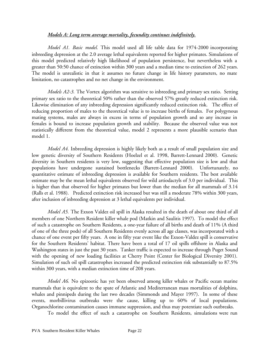# *Models A: Long term average mortality, fecundity continues indefinitely.*

*Model A1. Basic model.* This model used all life table data for 1974-2000 incorporating inbreeding depression at the 2.0 average lethal equivalents reported for higher primates. Simulations of this model predicted relatively high likelihood of population persistence, but nevertheless with a greater than 50:50 chance of extinction within 300 years and a median time to extinction of 262 years. The model is unrealistic in that it assumes no future change in life history parameters, no mate limitation, no catastrophes and no net change in the environment.

*Models A2-3.* The Vortex algorithm was sensitive to inbreeding and primary sex ratio. Setting primary sex ratio to the theoretical 50% rather than the observed 57% greatly reduced extinction risk. Likewise elimination of any inbreeding depression significantly reduced extinction risk. The effect of reducing proportion of males to the theoretical value is to increase births of females. For polygynous mating systems, males are always in excess in terms of population growth and so any increase in females is bound to increase population growth and stability. Because the observed value was not statistically different from the theoretical value, model 2 represents a more plausible scenario than model 1.

*Model A4.* Inbreeding depression is highly likely both as a result of small population size and low genetic diversity of Southern Residents (Hoelzel et al. 1998, Barrett-Lennard 2000). Genetic diversity in Southern residents is very low, suggesting that effective population size is low and that populations have undergone sustained bottlenecks (Barrett-Lennard 2000). Unfortunately, no quantitative estimate of inbreeding depression is available for Southern residents. The best available estimate may be the mean lethal equivalents observed for wild artiodactyls of 3.0 per individual. This is higher than that observed for higher primates but lower than the median for all mammals of 3.14 (Ralls et al. 1988). Predicted extinction risk increased but was still a moderate 78% within 300 years, after inclusion of inbreeding depression at 3 lethal equivalents per individual.

*Model A5.* The Exxon Valdez oil spill in Alaska resulted in the death of about one third of all members of one Northern Resident killer whale pod (Matkin and Saulitis 1997). To model the effect of such a catastrophe on Southern Residents, a one-year failure of all births and death of 11% (A third of one of the three pods) of all Southern Residents evenly across all age classes, was incorporated with a chance of one event per fifty years. A one in fifty year event like the Exxon-Valdez spill is conservative for the Southern Residents' habitat. There have been a total of 17 oil spills offshore in Alaska and Washington states in just the past 30 years. Tanker traffic is expected to increase through Puget Sound with the opening of new loading facilities at Cherry Point (Center for Biological Diversity 2001). Simulation of such oil spill catastrophes increased the predicted extinction risk substantially to 87.5% within 300 years, with a median extinction time of 208 years.

*Model A6.* No epizootic has yet been observed among killer whales or Pacific ocean marine mammals that is equivalent to the spate of Atlantic and Mediterranean mass mortalities of dolphins, whales and pinnipeds during the last two decades (Simmonds and Mayer 1997). In some of these events, morbillivirus outbreaks were the cause, killing up to 60% of local populations. Organochlorine contamination causes immune suppression, and thus may potentiate such outbreaks.

To model the effect of such a catastrophe on Southern Residents, simulations were run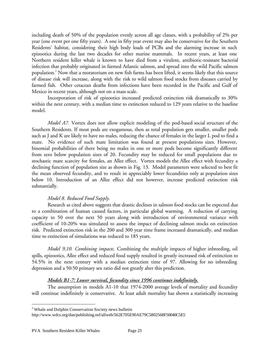including death of 50% of the population evenly across all age classes, with a probability of 2% per year (one event per one fifty years). A one in fifty year event may also be conservative for the Southern Residents' habitat, considering their high body loads of PCBs and the alarming increase in such epizootics during the last two decades for other marine mammals. In recent years, at least one Northern resident killer whale is known to have died from a virulent, antibiotic-resistant bacterial infection that probably originated in farmed Atlantic salmon, and spread into the wild Pacific salmon population. $^{2}$  Now that a moratorium on new fish farms has been lifted, it seems likely that this source of disease risk will increase, along with the risk to wild salmon food stocks from diseases carried by farmed fish. Other cetacean deaths from infections have been recorded in the Pacific and Gulf of Mexico in recent years, although not on a mass scale.

Incorporation of risk of epizootics increased predicted extinction risk dramatically to 30% within the next century, with a median time to extinction reduced to 129 years relative to the baseline model.

*Model A7.* Vortex does not allow explicit modeling of the pod-based social structure of the Southern Residents. If most pods are exogamous, then as total population gets smaller, smaller pods such as J and K are likely to have no males, reducing the chance of females in the larger L pod to find a mate. No evidence of such mate limitation was found at present populations sizes. However, binomial probabilities of there being no males in one or more pods become significantly different from zero below population sizes of 20. Fecundity may be reduced for small populations due to stochastic mate scarcity for females, an Allee effect. Vortex models the Allee effect with fecundity a declining function of population size as shown in Fig. 13. Model parameters were selected to best fit the mean observed fecundity, and to result in appreciably lower fecundities only at population sizes below 10. Introduction of an Allee effect did not however, increase predicted extinction risk substantially.

# *Model 8. Reduced Food Supply.*

Research as cited above suggests that drastic declines in salmon food stocks can be expected due to a combination of human caused factors, in particular global warming. A reduction of carrying capacity to 50 over the next 50 years along with introduction of environmental variance with coefficient of 10-20% was simulated to assess the impact of declining salmon stocks on extinction risk. Predicted extinction risk in the 200 and 300 year time frame increased dramatically, and median time to extinction of simulations was reduced to 185 years.

*Model 9,10. Combining impacts.* Combining the multiple impacts of higher inbreeding, oil spills, epizootics, Allee effect and reduced food supply resulted in greatly increased risk of extinction to 54.5% in the next century with a median extinction time of 97. Allowing for no inbreeding depression and a 50:50 primary sex ratio did not greatly alter this prediction.

# *Models B1-7: Lower survival, fecundity since 1996 continues indefinitely.*

The assumption in models A1-10 that 1974-2000 average levels of mortality and fecundity will continue indefinitely is conservative. At least adult mortality has shown a statistically increasing

 $\overline{a}$ 

<sup>&</sup>lt;sup>2</sup> Whale and Dolphin Conservation Society news bulletin

http://www.wdcs.org/dan/publishing.nsf/allweb/562E705E90AE79C5802568F50040C5E5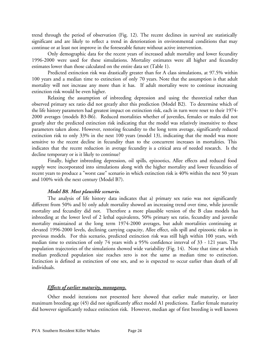trend through the period of observation (Fig. 12). The recent declines in survival are statistically significant and are likely to reflect a trend in deterioration in environmental conditions that may continue or at least not improve in the foreseeable future without active intervention.

Only demographic data for the recent years of increased adult mortality and lower fecundity 1996-2000 were used for these simulations. Mortality estimates were all higher and fecundity estimates lower than those calculated on the entire data set (Table 1).

Predicted extinction risk was drastically greater than for A class simulations, at 97.5% within 100 years and a median time to extinction of only 70 years. Note that the assumption is that adult mortality will not increase any more than it has. If adult mortality were to continue increasing extinction risk would be even higher.

Relaxing the assumption of inbreeding depression and using the theoretical rather than observed primary sex ratio did not greatly alter this prediction (Model B2). To determine which of the life history parameters had greatest impact on extinction risk, each in turn were reset to their 1974- 2000 averages (models B3-B6). Reduced mortalities whether of juveniles, females or males did not greatly alter the predicted extinction risk indicating that the model was relatively insensitive to these parameters taken alone. However, restoring fecundity to the long term average, significantly reduced extinction risk to only 33% in the next 100 years (model 13), indicating that the model was more sensitive to the recent decline in fecundity than to the concurrent increases in mortalities. This indicates that the recent reduction in average fecundity is a critical area of needed research. Is the decline temporary or is it likely to continue?

Finally, higher inbreeding depression, oil spills, epizootics, Allee effects and reduced food supply were incorporated into simulations along with the higher mortality and lower fecundities of recent years to produce a "worst case" scenario in which extinction risk is 40% within the next 50 years and 100% with the next century (Model B7).

# *Model B8. Most plausible scenario.*

The analysis of life history data indicates that a) primary sex ratio was not significantly different from 50% and b) only adult mortality showed an increasing trend over time, while juvenile mortality and fecundity did not. Therefore a more plausible version of the B class models has inbreeding at the lower level of 2 lethal equivalents, 50% primary sex ratio, fecundity and juvenile mortality maintained at the long term 1974-2000 averages, but adult mortalities continuing at elevated 1996-2000 levels, declining carrying capacity, Allee effect, oils spill and epizootic risks as in previous models. For this scenario, predicted extinction risk was still high within 100 years, with median time to extinction of only 74 years with a 95% confidence interval of 33 - 121 years. The population trajectories of the simulations showed wide variability (Fig. 14). Note that time at which median predicted population size reaches zero is not the same as median time to extinction. Extinction is defined as extinction of one sex, and so is expected to occur earlier than death of all individuals.

# *Effects of earlier maturity, monogamy.*

Other model iterations not presented here showed that earlier male maturity, or later maximum breeding age (45) did not significantly affect model A1 predictions. Earlier female maturity did however significantly reduce extinction risk. However, median age of first breeding is well known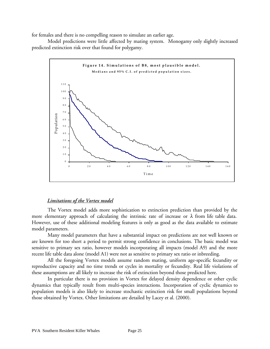for females and there is no compelling reason to simulate an earlier age.

Model predictions were little affected by mating system. Monogamy only slightly increased predicted extinction risk over that found for polygamy.



# *Limitations of the Vortex model*

The Vortex model adds more sophistication to extinction prediction than provided by the more elementary approach of calculating the intrinsic rate of increase or  $\lambda$  from life table data. However, use of these additional modeling features is only as good as the data available to estimate model parameters.

Many model parameters that have a substantial impact on predictions are not well known or are known for too short a period to permit strong confidence in conclusions. The basic model was sensitive to primary sex ratio, however models incorporating all impacts (model A9) and the more recent life table data alone (model A1) were not as sensitive to primary sex ratio or inbreeding.

All the foregoing Vortex models assume random mating, uniform age-specific fecundity or reproductive capacity and no time trends or cycles in mortality or fecundity. Real life violations of these assumptions are all likely to increase the risk of extinction beyond those predicted here.

In particular there is no provision in Vortex for delayed density dependence or other cyclic dynamics that typically result from multi-species interactions. Incorporation of cyclic dynamics to population models is also likely to increase stochastic extinction risk for small populations beyond those obtained by Vortex. Other limitations are detailed by Lacey et al. (2000).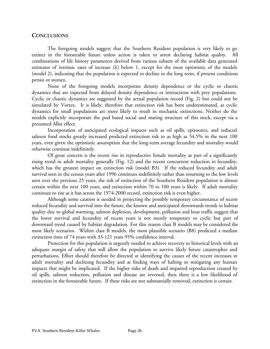# **CONCLUSIONS**

The foregoing models suggest that the Southern Resident population is very likely to go extinct in the foreseeable future unless action is taken to arrest declining habitat quality. All combinations of life history parameters derived from various subsets of the available data generated estimates of intrinsic rates of increase  $(\lambda)$  below 1, except for the most optimistic of the models (model 2), indicating that the population is expected to decline in the long term, if present conditions persist or worsen.

None of the foregoing models incorporate density dependence or the cyclic or chaotic dynamics that are expected from delayed density dependence or interactions with prey populations. Cyclic or chaotic dynamics are suggested by the actual population record (Fig. 2) but could not be simulated by Vortex. It is likely, therefore that extinction risk has been underestimated, as cyclic dynamics for small populations are more likely to result in stochastic extinctions. Neither do the models explicitly incorporate the pod based social and mating structure of this stock, except via a presumed Allee effect.

Incorporation of anticipated ecological impacts such as oil spills, epizootics, and reduced salmon food stocks greatly increased predicted extinction risk to as high as 54.5% in the next 100 years, even given the optimistic assumption that the long-term average fecundity and mortality would otherwise continue indefinitely.

Of great concern is the recent rise in reproductive female mortality as part of a significantly rising trend in adult mortality generally (Fig. 12) and the recent concurrent reduction in fecundity, which has the greatest impact on extinction risk (model B3). If the reduced fecundity and adult survival seen in the census years after 1996 continues indefinitely rather than returning to the low levels seen over the previous 25 years, the risk of extinction of the Southern Resident population is almost certain within the next 100 years, and extinction within 70 to 100 years is likely. If adult mortality continues to rise as it has across the 1974-2000 record, extinction risk is even higher.

Although some caution is needed in projecting the possibly temporary circumstance of recent reduced fecundity and survival into the future, the known and anticipated downwards trends in habitat quality due to global warming, salmon depletion, development, pollution and boat traffic suggest that the lower survival and fecundity of recent years is not merely temporary or cyclic but part of downward trend caused by habitat degradation. For this reason class B models may be considered the most likely scenarios. Within class B models, the most plausible scenario (B8) predicted a median extinction time of 74 years with 33-121 years 95% confidence interval.

Protection for this population is urgently needed to achieve recovery to historical levels with an adequate margin of safety that will allow the population to survive likely future catastrophes and perturbations. Effort should therefore be directed at identifying the causes of the recent increases in adult mortality and declining fecundity and at finding ways of halting or mitigating any human impacts that might be implicated. If the higher risks of death and impaired reproduction created by oil spills, salmon reduction, pollution and disease are reversed, then there is a low likelihood of extinction in the foreseeable future. If these risks are not substantially removed, extinction is certain.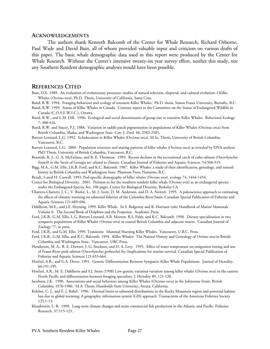### **ACKNOWLEDGEMENTS**

The authors thank Kenneth Balcomb of the Center for Whale Research, Richard Osborne, Paul Wade and David Bain, all of whom provided valuable input and criticism on various drafts of this paper. The basic whale demographic data used in this report were produced by the Center for Whale Research. Without the Center's intensive twenty-six year survey effort, neither this study, nor any Southern Resident demographic analyses would have been possible.

## **REFERENCES CITED**

- Bain, D.E. 1989. An evaluation of evolutionary processes: studies of natural selection, dispersal, and cultural evolution: I Killer Whales (*Orcinus orca*). Ph.D. Thesis, University of California, Santa Cruz.
- Baird, R.W. 1994. Foraging behaviour and ecology of transient Killer Whales. Ph.D. thesis, Simon Fraser University, Burnaby, B.C.
- Baird, R.W. 1999. Status of Killer Whales in Canada. Contract report to the Committee on the Status of Endangered Wildlife in Canada (C.O.S.E.W.I.C.), Ottawa.
- Baird, R.W., and L.M. Dill. 1996. Ecological and social determinants of group size in transient Killer Whales. Behavioral Ecology 7: 408-416.
- Baird, R.W. and Stacey, P.J. 1988. Variation in saddle patch pigmentation in populations of Killer Whales (Orcinus orca) from British Columbia, Alaska, and Washington State. Can. J. Zool. 66, 2582-2585.
- Barrett-Lennard, L.G. 1992. Echolocation in Killer Whales (Orcinus orca). M.Sc. Thesis, University of British Columbia, Vancouver, B.C.
- Barrett-Lennard, L.G. 2000. Population structure and mating patterns of killer whales (Orcinus orca) as revealed by DNA analysis. PhD Thesis, University of British Columbia, Vancouver, B.C.
- Beamish, R. J., G. A. McFarlane, and R. E. Thomson. 1999. Recent declines in the recreational catch of coho salmon (*Oncorhynchus kisutch*) in the Strait of Georgia are related to climate. Canadian Journal of Fisheries and Aquatic Sciences. 54:506-515.
- Bigg, M.A., G.M. Ellis, J.K.B. Ford, and K.C. Balcomb. 1987. Killer Whales: a study of their identification, genealogy, and natural history in British Columbia and Washington State. Phantom Press, Nanaimo, B.C.
- Brault, S amd H. Caswell. 1993. Pod-specific demography of killer whales (*Orcinus orca*). ecology 74, 1444-1454.
- Center for Biological Diversity. 2001. Petition to list the southern resident killer whale (*Orcinus orca*) as an endangered species under the Endangered Species Act. 108 pages. Center for Biological Diversity, Berkeley CA.
- Chatters-Chatters, J. C., V. Butler, L., M. J. Scott, D. M. Anderson, and D. A. Neitzel. 1995. A paleoscience approach to estimating the effects of climatic warming on salmonid fisheries of the Columbia River basin. Canadian Special Publication of Fisheries and Aquatic Sciences 121:489-496.
- Dahlheim, M.E., and J.E. Heyning. 1999. Killer Whale. In S. Ridgeway and R. Harrison (eds) Handbook of Marine Mammals Volume 6: The Second Book of Dolphins and the Porpoises. Academic Press.
- Ford, J.K.B., G.M. Ellis, L.G. Barrett-Lennard, A.B. Morton, R.S. Palm, and K.C. Balcomb. 1998. Dietary specialization in two sympatric populations of Killer Whales (*Orcinus orca*) in coastal British Columbia and adjacent waters. Canadian Journal of Zoology 77: in press.
- Ford, J.K.B., and G.M. Ellis, 1999. Transients: Mammal Hunting Killer Whales. Vancouver, U.B.C. Press.
- Ford, J.K.B., G.M. Ellis, and K.C. Balcomb. 1994. Killer Whales: The Natural History and Genealogy of *Orcinus orca* in British Columbia and Washington State. Vancouver, UBC Press.
- Henderson, M. A., R. E. Diewert, J. G. Stockner, and D. A. Levy. 1995. Effect of water temperature on emigration timing and size of Fraser River pink salmon (*Oncorhynchus gorbuscha*) fry: Implications for marine survival. Canadian Special Publication of Fisheries and Aquatic Sciences 121:655-664.
- Hoelzel, A.R., and G.A. Dover, 1991. Genetic Differentiation Between Sympatric Killer Whale Populations. Journal of Heredity, 66:191-195.
- Hoelzel, A.R., M. E. Dahlheim and S.J. Stern (1998) Low genetic variation variation among killer whales (*Orcinus orca*) in the eastern North Pacific and differentiation between foraging specialists. J. Heredity 89, 121-128.
- Jacobsen, J.K. 1990. Associations and social behaviors among Killer Whales (Orcinus orca) in the Johnstone Strait, British Columbia, 1976-1986. M.A. Thesis, Humboldt State University, Arcata, California.
- Keleher, C. J., and F. J. Rahel. 1996. Thermal limits to salmonid distributions in the Rocky Mountain region and potential habitat loss due to global warming: A geographic information system (GIS) approach. Transactions of the American Fisheries Society 125:1-13.
- Klyashtorin, L. B. 1998. Long-term climate changes and main commercial fish production in the Atlantic and Pacific. Fisheries Research. 37:115-125.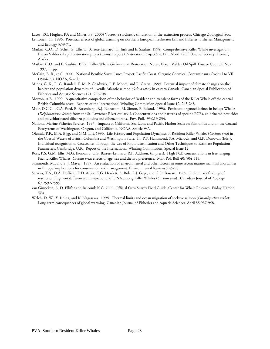Lacey, RC, Hughes, KA and Miller, PS (2000) Vortex: a stochastic simulation of the extinction process. Chicago Zoological Soc.

- Lehtonen, H. 1996. Potential effects of global warming on northern European freshwater fish and fisheries. Fisheries Management and Ecology 3:59-71.
- Matkin, C.O., D. Schel, G. Ellis, L. Barrett-Lennard, H. Jurk and E. Saulitis. 1998. Comprehensive Killer Whale investigation, Exxon Valdez oil spill restoration project annual report (Restoration Project 97012). North Gulf Oceanic Society, Homer, Alaska.
- Matkin, C.O. and E. Saulitis. 1997. Killer Whale *Orcinus orca.* Restoration Notes, Exxon Valdez Oil Spill Trustee Council, Nov 1997, 11 pp.
- McCain, B. B., et al. 2000. National Benthic Surveillance Project: Pacific Coast. Organic Chemical Contaminants Cycles I to VII (1984-90). NOAA, Seattle.
- Minns, C. K., R. G. Randall, E. M. P. Chadwick, J. E. Moore, and R. Green. 1995. Potential impact of climate changes on the habitat and population dynamics of juvenile Atlantic salmon *(Salmo salar)* in eastern Canada. Canadian Special Publication of Fisheries and Aquatic Sciences 121:699-708.
- Morton, A.B. 1990. A quantitative comparison of the behavior of Resident and transient forms of the Killer Whale off the central British Columbia coast. Reports of the International Whaling Commission Special Issue 12: 245-248.
- Muir, D.C.G. , C.A. Ford, B. Rosenberg., R.J. Norstrom, M. Simon, P. Beland. 1996. Persistent organochlorines in beluga Whales (*Delphinapterus leucas*) from the St. Lawrence River estuary-I. Concentrations and patterns of specific PCBs, chlorinated pesticides and polychlorinated dibenzo-p-dioxins and dibenzofurans. Env. Poll. 93:219-234.
- National Marine Fisheries Service. 1997. Impacts of California Sea Lions and Pacific Harbor Seals on Salmonids and on the Coastal Ecosystems of Washington, Oregon, and California. NOAA, Seattle WA.
- Olesiuk, P.F., M.A. Bigg, and G.M. Llis, 1990. Life History and Population Dynamics of Resident Killer Whales (*Orcinus orca*) in the Coastal Waters of British Columbia and Washington State. In: P.S. Hammond, S.A. Mizroch, and G.P. Donovan (Eds.), Individual recognition of Cetaceans: Through the Use of Photoidentification and Other Techniques to Estimate Population Parameters, Cambridge, U.K. Report of the International Whaling Commission, Special Issue 12.
- Ross, P.S. G.M. Ellis, M.G. Ikonomu, L.G. Barrett-Lennard, R.F. Addison. (in press). High PCB concentrations in free ranging Pacific Killer Whales, *Orcinus orca*: effects of age, sex and dietary preference. Mar. Pol. Bull 40: 504-515.
- Simmonds, M., and S. J. Mayer. 1997. An evaluation of environmental and other factors in some recent marine mammal mortalities in Europe: implications for conservation and management. Environmental Reviews 5:89-98.
- Stevens, T.A., D.A. Duffield, E.D. Asper, K.G. Hewlett, A. Bolz, L.J. Gage, and G.D. Bossart. 1989. Preliminary findings of restriction fragment differences in mitochondrial DNA among Killer Whales (*Orcinus orca*). Canadian Journal of Zoology 67:2592-2595.
- van Ginneken, A, D. Ellifrit and Balcomb K.C. 2000. Official Orca Survey Field Guide. Center for Whale Research, Friday Harbor, WA.
- Welch, D. W., Y. Ishida, and K. Nagasawa. 1998. Thermal limits and ocean migration of sockeye salmon (*Oncorhynchus nerka*): Long-term consequences of global warming. Canadian Journal of Fisheries and Aquatic Sciences. April 55:937-948.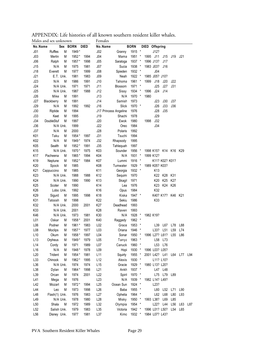|                 | iviaits and sex unknown |            |      | L'ETHAIC2 |                       |             |              |                       |                 |                   |             |     |
|-----------------|-------------------------|------------|------|-----------|-----------------------|-------------|--------------|-----------------------|-----------------|-------------------|-------------|-----|
| No.Name         |                         | Sex BORN   | DIED | No.Name   |                       | <b>BORN</b> |              | DIED Offspring        |                 |                   |             |     |
| J <sub>01</sub> | M<br>Ruffles            | 1949*      |      | J02       | Granny                | 1915 *      |              | J12?                  |                 |                   |             |     |
| J03             | Merlin<br>М             | 1952*      | 1994 | J04       | Mama                  | 1951        | $\ast$       | 1995<br>J11           | J15             | J19               | J21         |     |
| J06             | Ralph<br>М              | 1957*      | 1998 | J05       | Saratoga              | 1937 *      |              | 1996 J13?             | J17             |                   |             |     |
| J15             | N/A<br>М                | 1975       | 1981 | J07       | Sucia                 | 1938 *      |              | 1983 J03?             | J16             |                   |             |     |
| J18             | Everett<br>М            | 1977       | 1999 | J08       | Spieden               | 1932        | $\star$      | J04                   |                 |                   |             |     |
| J21             | E.T. Unk.               | 1981       | 1983 | J09       | Neah                  | 1922 *      |              | 1985 J05? J10?        |                 |                   |             |     |
| J23             | N/A<br>M                | 1986       | 1991 | J10       | Tahoma                | 1961        | $\star$      | 1999<br>J18           | J20             | J22               |             |     |
| J24             | N/A Unk.                | 1971       | 1971 | J11       | Blossom               | 1971        | $\star$      | J25                   | J27             | J31               |             |     |
| J25             | N/A Unk.                | 1987       | 1988 | J12       | Sissy                 | 1934 *      |              | 1996<br>J24           | J14             |                   |             |     |
| J26             | Mike<br>M               | 1991       |      | J13       | N/A                   | 1970        | $\star$      | 1980                  |                 |                   |             |     |
| <b>J27</b>      | M<br>Blackberry         | 1991       |      | J14       | Samish                | 1973        |              | J23                   | J30             | J37               |             |     |
| <b>J29</b>      | N/A<br>M                | 1992       | 1992 | J16       | Slick                 | 1970        | $\ast$       | J26                   | J33             | J36               |             |     |
| J30             | Riptide<br>М            | 1994       |      |           | J17 Princess Angeline | 1976        |              | J28                   | <b>J35</b>      |                   |             |     |
| J33             | Keet<br>М               | 1995       |      | J19       | Shachi                | 1978        |              | J29                   |                 |                   |             |     |
| <b>J34</b>      | DoubleStuf<br>M         | 1997       |      | J20       | Ewok                  | 1980        |              | 1998<br>J32           |                 |                   |             |     |
| <b>J36</b>      | N/A Unk.                | 1999       |      | J22       | Oreo                  | 1984        |              | J34                   |                 |                   |             |     |
| J37             | N/A<br>М                | 2000       |      | J28       | Polaris               | 1992        |              |                       |                 |                   |             |     |
| K01             | М<br>Taku               | 1954 *     | 1997 | J31       | Tsuchi                | 1994        |              |                       |                 |                   |             |     |
| K02             | N/A<br>М                | 1949*      | 1974 | J32       | Rhapsody              | 1995        |              |                       |                 |                   |             |     |
| K05             | Sealth<br>М             | 1952*      | 1991 | J35       | Tahlequah             | 1997        |              |                       |                 |                   |             |     |
| K15             | N/A Unk.                | 1970*      | 1975 | K03       | Sounder               | 1956        | $\star$      | 1998 K15? K14 K16 K29 |                 |                   |             |     |
| K17             | М<br>Pacheena           | 1965*      | 1994 | K04       | N/A                   | 1931        | $\star$      | 1999 K12?             |                 |                   |             |     |
| K19             | M<br>Neptune            | 1952*      | 1984 | K07       | Lummi                 | 1916        | $\star$      |                       | K11? K02? K01?  |                   |             |     |
| K20             | Spock<br>M              | 1985       |      | K08       | Tumwater              | 1929 *      |              | 1989 K05? K03?        |                 |                   |             |     |
| K21             | Cappuccino<br>M         | 1985       |      | K11       | Georgia               | 1932 *      |              | K <sub>13</sub>       |                 |                   |             |     |
| K <sub>23</sub> | N/A Unk.                | 1988       | 1988 | K12       | Sequim                | 1970        |              | K22                   | K28             | K31               |             |     |
| K24             | N/A Unk.                | 1990       | 1990 | K13       | Skagi                 | 1971        |              | K20                   | K <sub>25</sub> | K27               |             |     |
| K <sub>25</sub> | Scoter<br>М             | 1990       |      | K14       | Lea                   | 1976        |              | K <sub>23</sub>       | K24             | K26               |             |     |
| K26             | Lobo Unk.               | 1992       |      | K16       | Opus                  | 1984        |              | K32                   |                 |                   |             |     |
| K29             | М<br>Sigurd             | 1995       | 1998 | K18       | Kiska                 | 1947 *      |              |                       |                 | K40? K17? K46 K21 |             |     |
| K31             | M<br>Tatoosh            | 1998       |      | K22       | Sekiu                 | 1986        |              | K33                   |                 |                   |             |     |
| K32             | N/A Unk.                | 2000       | 2001 | K27       | Deadhead              | 1993        |              |                       |                 |                   |             |     |
| K33             | N/A Unk.                | 2001       |      | K28       | Raven                 | 1993        |              |                       |                 |                   |             |     |
| K46             | N/A Unk.                | 1973       | 1981 | K30       | N/A                   | 1928        | $\star$      | 1982 K19?             |                 |                   |             |     |
| L01             | Oskar<br>М              | 1958 *     | 2001 | K40       | Raggedy               | 1962        | $\star$      |                       |                 |                   |             |     |
| L06             | Podner<br>M             | 1961*      | 1983 | L02       | Grace                 | 1953 *      |              | L39                   | L67             | L78               | L88         |     |
| L08             | Moclips<br>M            | 1957*      | 1977 | L03       | Oriana                | 1946        | $\star$      | L33?                  | L51             | L <sub>59</sub>   | L74         |     |
| L10             | Okum<br>М               | 1958 *     | 1997 | L04       | Sonar                 | 1950 *      |              | 1996 L27? L61?        |                 | L <sub>55</sub>   | L86         |     |
| L13             | M<br>Orpheus            | 1949*      | 1979 | L05       | Tanya                 | 1963        |              | L58                   | L73             |                   |             |     |
| L14             | Cordy<br>М              | 1971       | 1989 | L07       | Canuck                | 1960        |              |                       | L53 L76         |                   |             |     |
| L16             | N/A<br>M                | 1948*      | 1978 | L09       | Hopi                  | 1930 *      |              | 1996 L03? L05?        |                 |                   |             |     |
| L20             | Trident<br>М            | 1954 *     | 1981 | L11       | Squirty               | 1955 *      |              | 2001 L42? L41         |                 |                   | L64 L77 L94 |     |
| L33             | Chinook<br>М            | 1962*      | 1995 | L12       | Alexis                | 1930        | $\ast$       |                       | L11? L10?       |                   |             |     |
| L36             | N/A Unk.                | 1974       | 1974 | L15       | Gracie                | 1929 *      |              | 1980 L13? L20?        |                 |                   |             |     |
| L38             | Dylan                   | 1964*<br>М | 1998 | L21       | Ankh                  | 1937 *      |              |                       | L47 L48         |                   |             |     |
| L39             | Orcan<br>М              | 1974       | 2001 | L22       | Spiri                 | 1970 *      |              | L75                   | L79             | L89               |             |     |
| L41             | Mega<br>M               | 1976       |      | L23       | N/A                   | 1939 *      |              | 1982 L14? L49?        |                 |                   |             |     |
| L42             | Mozart<br>M             | 1972*      | 1994 | L25       | Ocean Sun             | 1924        | $\star$      | L <sub>23</sub> ?     |                 |                   |             |     |
| L44             | M<br>Leo                | 1973       | 1998 | L26       | Baba                  | 1955        | $\pmb{\ast}$ | L60                   | L52             | L71               | L90         |     |
| L48             | Flash(1) Unk.           | 1976       | 1983 | L27       | Ophelia               | 1964        |              | L62                   | L68             | L80               | L93         |     |
| L49             | N/A Unk.                | 1978       | 1980 | L28       | Misky                 | 1950        | $\star$      | 1993 L38?             | L69             | L85               |             |     |
| L50             | Shala<br>M              | 1972       | 1989 | L32       | Olympia               | 1954        | $\star$      | L22?                  | L44             | L <sub>56</sub>   | L63         | L87 |
| L52             | Salish Unk.             | 1979       | 1983 | L35       | Victoria              | 1942 *      |              | 1996 L01? L50?        |                 | L54               | L65         |     |
| L56             | Disney Unk.             | 1977       | 1981 | L37       | Kimc                  | 1932 *      |              | 1984 L07? L43?        |                 |                   |             |     |
|                 |                         |            |      |           |                       |             |              |                       |                 |                   |             |     |

APPENDIX: Life histories of all known southern resident killer whales.<br>Males and sex unknown  $M$ ales and sex unknown